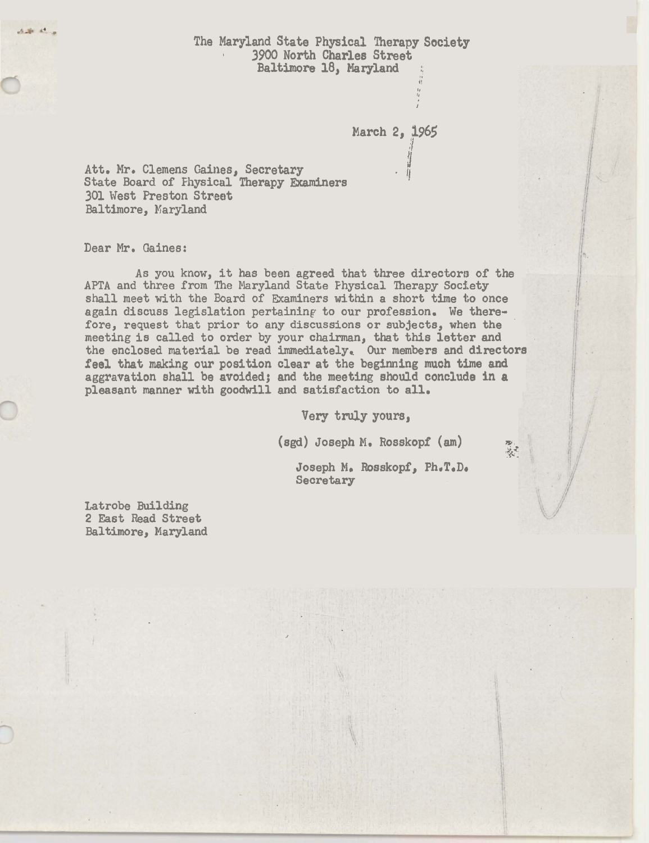*The* **Maryland State Physical Therapy Society** I 3900 North Charles Street Baltimore 18, Maryland

March 2, **1965** 

**4;**  I, **I** 

1<br>1

Att. Mr. Clemens Gaines, Secretary<br>State Board of Fhysical Therapy Examiners 301 West Preston Street Baltimore, Karyland

Dear Mr. Gaines:

A. St. 22 ...

As you know, it has been agreed that three directors of the APTA and three from The Maryland State Physical Therapy Society shall meet with the Board of Examiners within a short time to once again discuss legislation pertaining to our profession. We therefore, request that prior to any discussions or subjects, **when** the meeting is called to order by your chairman, that this letter and the enclosed material be read immediately. Our members and directors feel that **making** our **position** clear at the **beginning** much time and aggravation shall be avoided; and the **meeting should** conclude in a pleasant manner with goodwill and satisfaction to all.

Very truly yours,

**(sgd) Joseph M. Rosskopf (am)**  $\sum_{n=1}^{\infty}$ 

Joseph M. Rosskopf, Ph.T.D. Secretary

Latrobe Building 2 East Read Street Baltimore, Maryland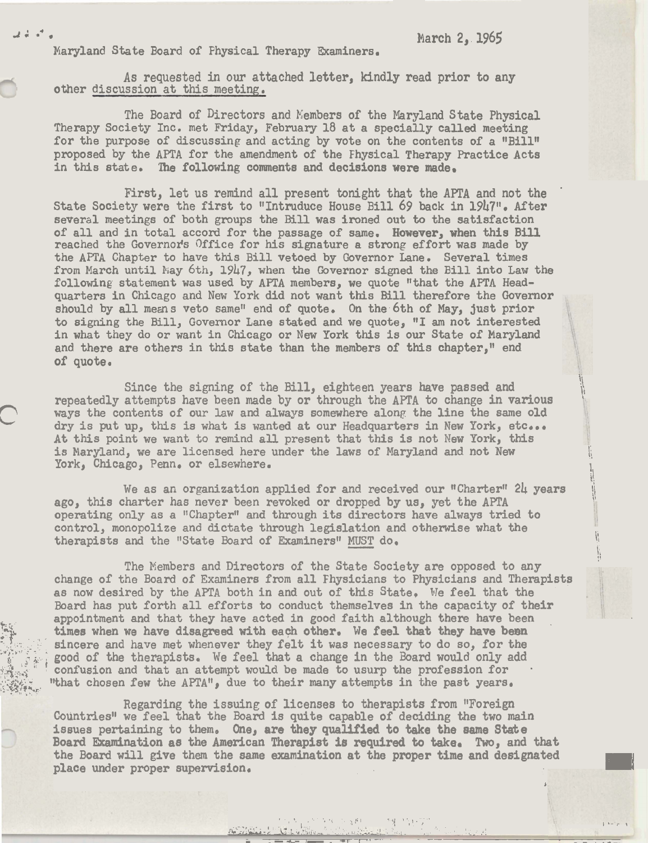**3:** .\* . Narch 2, 1965

 $\sum_{i=1}^n\frac{1}{i!}\sum_{j=1}^n\frac{1}{j!}\sum_{j=1}^n\frac{1}{j!}\sum_{j=1}^n\frac{1}{j!}\sum_{j=1}^n\frac{1}{j!}\sum_{j=1}^n\frac{1}{j!}\sum_{j=1}^n\frac{1}{j!}\sum_{j=1}^n\frac{1}{j!}\sum_{j=1}^n\frac{1}{j!}\sum_{j=1}^n\frac{1}{j!}\sum_{j=1}^n\frac{1}{j!}\sum_{j=1}^n\frac{1}{j!}\sum_{j=1}^n\frac{1}{j!}\sum_{j=1}^n\frac{$ 

- .-.li-- *I-.* **-r 1** - -- - -

1, ! '

Maryland State Board of Physical Therapy Examiners.

As requested in our attached letter, kindly read prior to any other discussion at this meeting.

The Board of Directors and Kembers of the Maryland State Physical Therapy Society Inc. met Friday, February 18 at a specially called meeting for the purpose of discussing and acting by vote on the contents of a "Bill" proposed by the APTA for the amendment of the Fhysical Therapy Practice Acts in this state. The following comments and decisions were made.

First, let us remind all present tonight that the APTA and not the ' State Society were the first to "Intruduce House Bill 69 back in 1947". After several meetings of both groups the Bill was ironed out to the satisfaction of all and in total accord for the passage of same. However, when this Bill reached the Governor's Office for his signature a strong effort was made by the APTA Chapter to have this Bill vetoed by Governor Lane. Several times from March until May 6th, 1947, when the Governor signed the Bill into Law the following statement was used by AFTA members, we quote "that the **AFTA** Headquarters in Chicago and New York did not want this Bill therefore the Governor should by all means veto same" end of quote. On the 6th of May, just prior to signing the Bill, Governor Lane stated and we quote, "1 am not interested in what they do or want in Chicago or **New** York this is our State of Maryland and there are others in this state than the members of this chapter," end of quote.

Since the signing of the Bill, eighteen years have passed and repeatedly attempts have been made by or through the APTA to change in various ways the contents of our law and always somewhere along the line the same old dry is put up, this is what is wanted at our Headquarters in **New** York, etc... At this point we want to remind all present that this is not New York, this is Maryland, we are licensed here under the laws of Maryland and not New York, Chicago, Penn. or elsewhere.

We as an organization applied for and received our "Charter" 24 years ago, this charter has never been revoked or dropped by us, yet the **APTA** \I operating only as a "Chapter" and through its directors have always tried to control, monopolize and dictate through legislation and otherwise what the therapists and the "State Board of Examiners" MUST do. We as an organization applied for and received our "Charter" 24 years<br>ago, this charter has never been revoked or dropped by us, yet the APTA<br>operating only as a "Chapter" and through its directors have always tried to<br>con

The Wembers and Directors of the State Society are opposed to any change of the Board of Examiners from all Fhysicians to Physicians and Therapists as now desired by the APTA both in and out of this State, We feel that the Board has put forth all efforts to conduct themselves in the capacity of their appointment and that they have acted in good faith although there have been times when we have disagreed with each other. We feel that they have been sincere and have met whenever they felt it was necessary to do so, for the good of the therapists. We feel that a change in the Board would only add confusion and that an attempt would be made to usurp the profession for "that chosen few the APTA", due to their many attempts in the past years.

Regarding the issuing of licenses to therapists from "Foreign Countries" we feel that the Board is quite capable of deciding the two main issues pertaining to them. One, are they qualified to take the same State Board Examination as the American Therapist is required to take. **Two,** and that the Board will give them the same examination at the proper time and designated place under proper supervision.

**\*L-.&;** - k.. **,,A>--** ~ - , ' . **2:** 

**n** 

 $\frac{1}{2}$ . ,  $\frac{1}{2}$  ,  $\frac{1}{2}$  ,  $\frac{1}{2}$  ,  $\frac{1}{2}$  ,  $\frac{1}{2}$  ,  $\frac{1}{2}$  ,  $\frac{1}{2}$  ,  $\frac{1}{2}$  ,  $\frac{1}{2}$